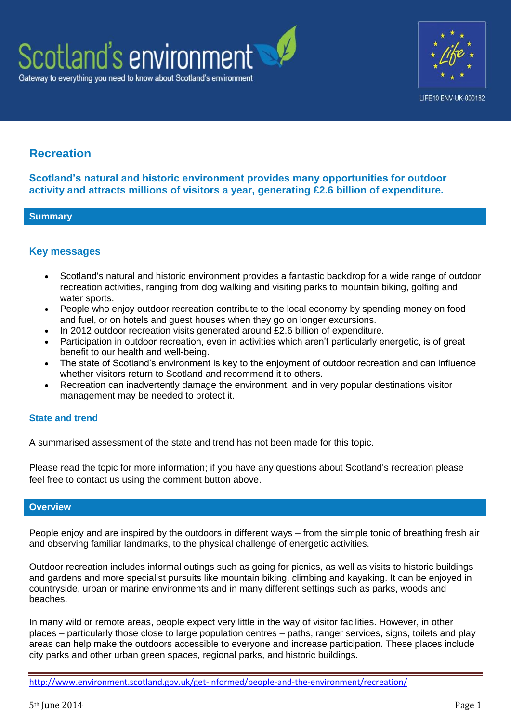



# **Recreation**

**Scotland's natural and historic environment provides many opportunities for outdoor activity and attracts millions of visitors a year, generating £2.6 billion of expenditure.**

### **Summary**

# **Key messages**

- Scotland's natural and historic environment provides a fantastic backdrop for a wide range of outdoor recreation activities, ranging from dog walking and visiting parks to mountain biking, golfing and water sports.
- People who enjoy outdoor recreation contribute to the local economy by spending money on food and fuel, or on hotels and guest houses when they go on longer excursions.
- In 2012 outdoor recreation visits generated around £2.6 billion of expenditure.
- Participation in outdoor recreation, even in activities which aren't particularly energetic, is of great benefit to our health and well-being.
- The state of Scotland's environment is key to the enjoyment of outdoor recreation and can influence whether visitors return to Scotland and recommend it to others.
- Recreation can inadvertently damage the environment, and in very popular destinations visitor management may be needed to protect it.

### **State and trend**

A summarised assessment of the state and trend has not been made for this topic.

Please read the topic for more information; if you have any questions about Scotland's recreation please feel free to contact us using the comment button above.

### **Overview**

People enjoy and are inspired by the outdoors in different ways – from the simple tonic of breathing fresh air and observing familiar landmarks, to the physical challenge of energetic activities.

Outdoor recreation includes informal outings such as going for picnics, as well as visits to historic buildings and gardens and more specialist pursuits like mountain biking, climbing and kayaking. It can be enjoyed in countryside, urban or marine environments and in many different settings such as parks, woods and beaches.

In many wild or remote areas, people expect very little in the way of visitor facilities. However, in other places – particularly those close to large population centres – paths, ranger services, signs, toilets and play areas can help make the outdoors accessible to everyone and increase participation. These places include city parks and other urban green spaces, regional parks, and historic buildings.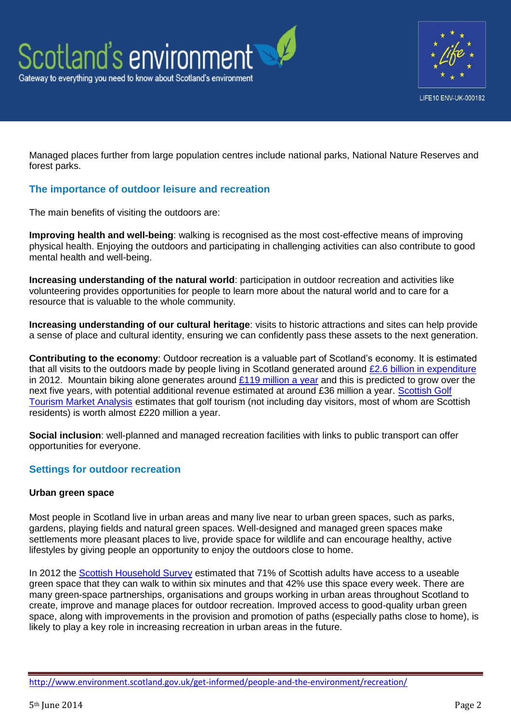



Managed places further from large population centres include national parks, National Nature Reserves and forest parks.

# **The importance of outdoor leisure and recreation**

The main benefits of visiting the outdoors are:

**Improving health and well-being**: walking is recognised as the most cost-effective means of improving physical health. Enjoying the outdoors and participating in challenging activities can also contribute to good mental health and well-being.

**Increasing understanding of the natural world**: participation in outdoor recreation and activities like volunteering provides opportunities for people to learn more about the natural world and to care for a resource that is valuable to the whole community.

**Increasing understanding of our cultural heritage**: visits to historic attractions and sites can help provide a sense of place and cultural identity, ensuring we can confidently pass these assets to the next generation.

**Contributing to the economy**: Outdoor recreation is a valuable part of Scotland's economy. It is estimated that all visits to the outdoors made by people living in Scotland generated around [£2.6 billion in expenditure](http://www.snh.gov.uk/publications-data-and-research/publications/search-the-catalogue/publication-detail/?id=2052) in 2012. Mountain biking alone generates around  $£119$  million a year and this is predicted to grow over the next five years, with potential additional revenue estimated at around £36 million a year. Scottish Golf [Tourism Market Analysis](http://www.visitscotland.org/research_and_statistics/tourism_sectors/outdoor_activities/golf.aspx) estimates that golf tourism (not including day visitors, most of whom are Scottish residents) is worth almost £220 million a year.

**Social inclusion**: well-planned and managed recreation facilities with links to public transport can offer opportunities for everyone.

# **Settings for outdoor recreation**

### **Urban green space**

Most people in Scotland live in urban areas and many live near to urban green spaces, such as parks, gardens, playing fields and natural green spaces. Well-designed and managed green spaces make settlements more pleasant places to live, provide space for wildlife and can encourage healthy, active lifestyles by giving people an opportunity to enjoy the outdoors close to home.

In 2012 the [Scottish Household Survey](http://www.scotland.gov.uk/Topics/Statistics/16002/PublicationAnnual) estimated that 71% of Scottish adults have access to a useable green space that they can walk to within six minutes and that 42% use this space every week. There are many green-space partnerships, organisations and groups working in urban areas throughout Scotland to create, improve and manage places for outdoor recreation. Improved access to good-quality urban green space, along with improvements in the provision and promotion of paths (especially paths close to home), is likely to play a key role in increasing recreation in urban areas in the future.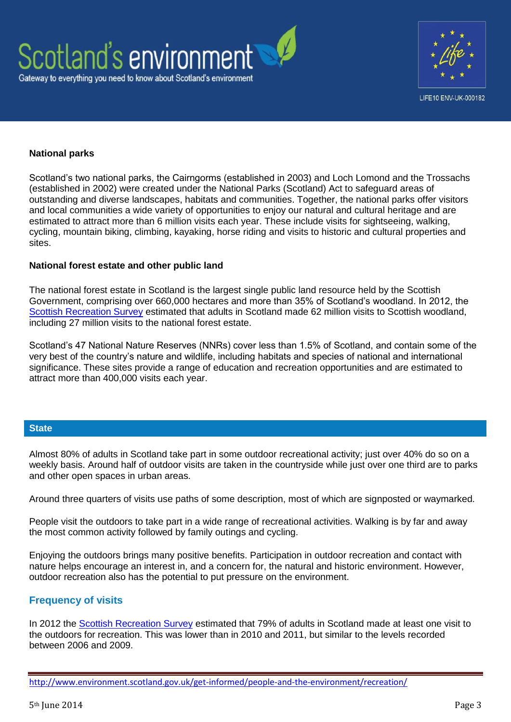



### **National parks**

Scotland's two national parks, the Cairngorms (established in 2003) and Loch Lomond and the Trossachs (established in 2002) were created under the National Parks (Scotland) Act to safeguard areas of outstanding and diverse landscapes, habitats and communities. Together, the national parks offer visitors and local communities a wide variety of opportunities to enjoy our natural and cultural heritage and are estimated to attract more than 6 million visits each year. These include visits for sightseeing, walking, cycling, mountain biking, climbing, kayaking, horse riding and visits to historic and cultural properties and sites.

#### **National forest estate and other public land**

The national forest estate in Scotland is the largest single public land resource held by the Scottish Government, comprising over 660,000 hectares and more than 35% of Scotland's woodland. In 2012, the [Scottish Recreation Survey](http://www.snh.gov.uk/publications-data-and-research/publications/search-the-catalogue/publication-detail/?id=2052) estimated that adults in Scotland made 62 million visits to Scottish woodland, including 27 million visits to the national forest estate.

Scotland's 47 National Nature Reserves (NNRs) cover less than 1.5% of Scotland, and contain some of the very best of the country's nature and wildlife, including habitats and species of national and international significance. These sites provide a range of education and recreation opportunities and are estimated to attract more than 400,000 visits each year.

### **State**

Almost 80% of adults in Scotland take part in some outdoor recreational activity; just over 40% do so on a weekly basis. Around half of outdoor visits are taken in the countryside while just over one third are to parks and other open spaces in urban areas.

Around three quarters of visits use paths of some description, most of which are signposted or waymarked.

People visit the outdoors to take part in a wide range of recreational activities. Walking is by far and away the most common activity followed by family outings and cycling.

Enjoying the outdoors brings many positive benefits. Participation in outdoor recreation and contact with nature helps encourage an interest in, and a concern for, the natural and historic environment. However, outdoor recreation also has the potential to put pressure on the environment.

# **Frequency of visits**

In 2012 the [Scottish Recreation Survey](http://www.snh.gov.uk/publications-data-and-research/publications/search-the-catalogue/publication-detail/?id=2052) estimated that 79% of adults in Scotland made at least one visit to the outdoors for recreation. This was lower than in 2010 and 2011, but similar to the levels recorded between 2006 and 2009.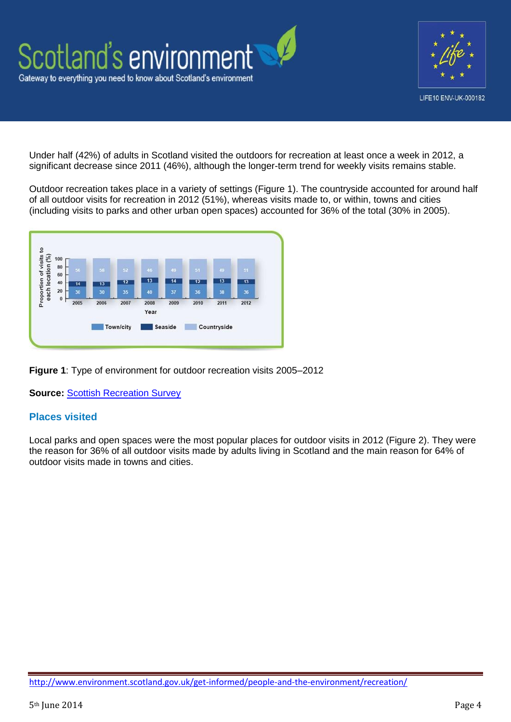

Under half (42%) of adults in Scotland visited the outdoors for recreation at least once a week in 2012, a significant decrease since 2011 (46%), although the longer-term trend for weekly visits remains stable.

Outdoor recreation takes place in a variety of settings (Figure 1). The countryside accounted for around half of all outdoor visits for recreation in 2012 (51%), whereas visits made to, or within, towns and cities (including visits to parks and other urban open spaces) accounted for 36% of the total (30% in 2005).



**Figure 1**: Type of environment for outdoor recreation visits 2005–2012

**Source: [Scottish Recreation Survey](http://www.snh.gov.uk/publications-data-and-research/publications/search-the-catalogue/publication-detail/?id=2052)** 

# **Places visited**

Local parks and open spaces were the most popular places for outdoor visits in 2012 (Figure 2). They were the reason for 36% of all outdoor visits made by adults living in Scotland and the main reason for 64% of outdoor visits made in towns and cities.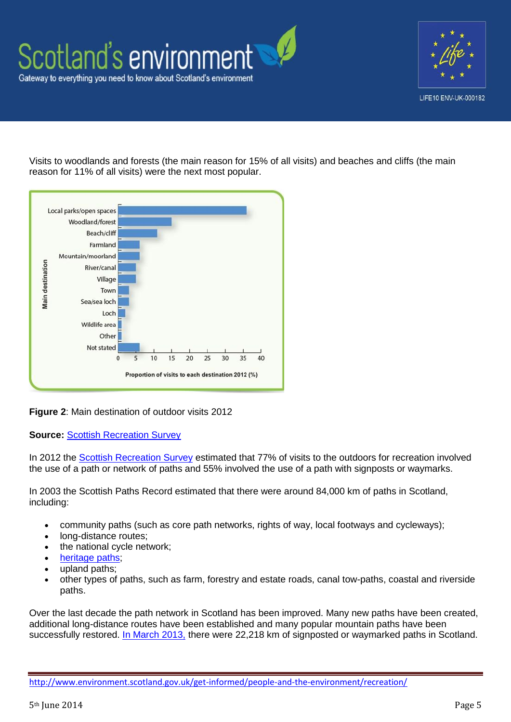



Visits to woodlands and forests (the main reason for 15% of all visits) and beaches and cliffs (the main reason for 11% of all visits) were the next most popular.



**Figure 2**: Main destination of outdoor visits 2012

**Source:** [Scottish Recreation Survey](http://www.snh.gov.uk/publications-data-and-research/publications/search-the-catalogue/publication-detail/?id=2052)

In 2012 the [Scottish Recreation Survey](http://www.snh.gov.uk/publications-data-and-research/publications/search-the-catalogue/publication-detail/?id=2052) estimated that 77% of visits to the outdoors for recreation involved the use of a path or network of paths and 55% involved the use of a path with signposts or waymarks.

In 2003 the Scottish Paths Record estimated that there were around 84,000 km of paths in Scotland, including:

- community paths (such as core path networks, rights of way, local footways and cycleways);
- long-distance routes;
- the national cycle network;
- [heritage paths;](http://www.heritagepaths.co.uk/)
- upland paths;
- other types of paths, such as farm, forestry and estate roads, canal tow-paths, coastal and riverside paths.

Over the last decade the path network in Scotland has been improved. Many new paths have been created, additional long-distance routes have been established and many popular mountain paths have been successfully restored. [In March 2013,](http://www.scotland.gov.uk/Topics/Environment/Countryside/16328/AccessAuthorities) there were 22,218 km of signposted or waymarked paths in Scotland.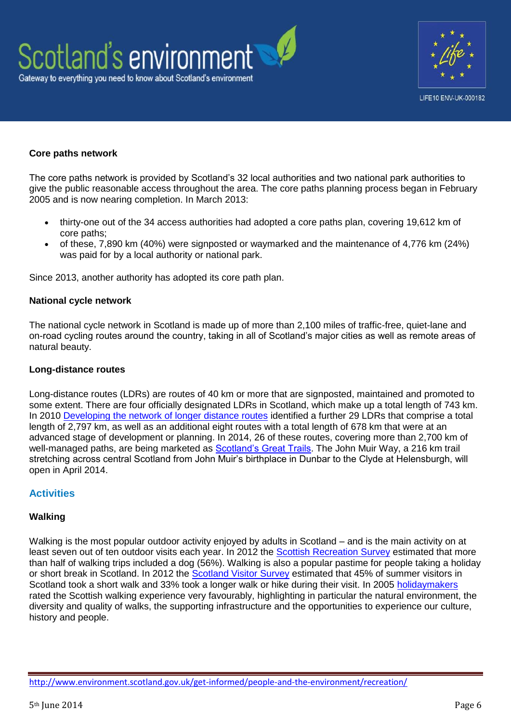



### **Core paths network**

The core paths network is provided by Scotland's 32 local authorities and two national park authorities to give the public reasonable access throughout the area. The core paths planning process began in February 2005 and is now nearing completion. In March 2013:

- thirty-one out of the 34 access authorities had adopted a core paths plan, covering 19,612 km of core paths;
- of these, 7,890 km (40%) were signposted or waymarked and the maintenance of 4,776 km (24%) was paid for by a local authority or national park.

Since 2013, another authority has adopted its core path plan.

#### **National cycle network**

The national cycle network in Scotland is made up of more than 2,100 miles of traffic-free, quiet-lane and on-road cycling routes around the country, taking in all of Scotland's major cities as well as remote areas of natural beauty.

#### **Long-distance routes**

Long-distance routes (LDRs) are routes of 40 km or more that are signposted, maintained and promoted to some extent. There are four officially designated LDRs in Scotland, which make up a total length of 743 km. In 2010 [Developing the network of longer distance routes](http://www.snh.gov.uk/publications-data-and-research/publications/search-the-catalogue/publication-detail/?id=1526) identified a further 29 LDRs that comprise a total length of 2,797 km, as well as an additional eight routes with a total length of 678 km that were at an advanced stage of development or planning. In 2014, 26 of these routes, covering more than 2,700 km of well-managed paths, are being marketed as [Scotland's Great Trails.](http://www.snh.gov.uk/enjoying-the-outdoors/where-to-go/routes-to-explore/scotlands-great-trails/) The John Muir Way, a 216 km trail stretching across central Scotland from John Muir's birthplace in Dunbar to the Clyde at Helensburgh, will open in April 2014.

# **Activities**

#### **Walking**

Walking is the most popular outdoor activity enjoyed by adults in Scotland – and is the main activity on at least seven out of ten outdoor visits each year. In 2012 the [Scottish Recreation Survey](http://www.snh.gov.uk/publications-data-and-research/publications/search-the-catalogue/publication-detail/?id=2052) estimated that more than half of walking trips included a dog (56%). Walking is also a popular pastime for people taking a holiday or short break in Scotland. In 2012 the [Scotland Visitor Survey](http://www.visitscotland.org/research_and_statistics/visitor_research/all_markets.aspx) estimated that 45% of summer visitors in Scotland took a short walk and 33% took a longer walk or hike during their visit. In 2005 [holidaymakers](http://www.visitscotland.org/pdf/walkingsummary2005.pdf) rated the Scottish walking experience very favourably, highlighting in particular the natural environment, the diversity and quality of walks, the supporting infrastructure and the opportunities to experience our culture, history and people.

<http://www.environment.scotland.gov.uk/get-informed/people-and-the-environment/recreation/>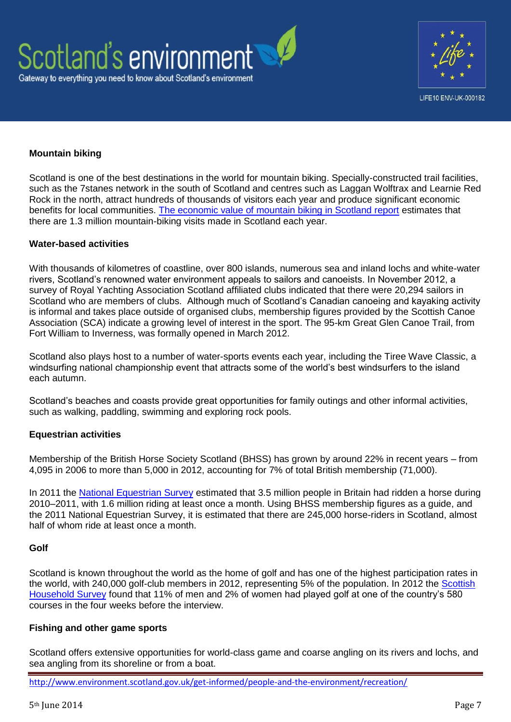



### **Mountain biking**

Scotland is one of the best destinations in the world for mountain biking. Specially-constructed trail facilities, such as the 7stanes network in the south of Scotland and centres such as Laggan Wolftrax and Learnie Red Rock in the north, attract hundreds of thousands of visitors each year and produce significant economic benefits for local communities. [The economic value of mountain biking in Scotland report](http://www.tourism-intelligence.co.uk/develop-your-business/research-summaries/the-economic-value-of-mountain-biking-tourism-to-scotland) estimates that there are 1.3 million mountain-biking visits made in Scotland each year.

#### **Water-based activities**

With thousands of kilometres of coastline, over 800 islands, numerous sea and inland lochs and white-water rivers, Scotland's renowned water environment appeals to sailors and canoeists. In November 2012, a survey of Royal Yachting Association Scotland affiliated clubs indicated that there were 20,294 sailors in Scotland who are members of clubs. Although much of Scotland's Canadian canoeing and kayaking activity is informal and takes place outside of organised clubs, membership figures provided by the Scottish Canoe Association (SCA) indicate a growing level of interest in the sport. The 95-km Great Glen Canoe Trail, from Fort William to Inverness, was formally opened in March 2012.

Scotland also plays host to a number of water-sports events each year, including the Tiree Wave Classic, a windsurfing national championship event that attracts some of the world's best windsurfers to the island each autumn.

Scotland's beaches and coasts provide great opportunities for family outings and other informal activities, such as walking, paddling, swimming and exploring rock pools.

### **Equestrian activities**

Membership of the British Horse Society Scotland (BHSS) has grown by around 22% in recent years – from 4,095 in 2006 to more than 5,000 in 2012, accounting for 7% of total British membership (71,000).

In 2011 the [National Equestrian Survey](http://www.beta-uk.org/pages/trade/equestrian-industry-information/market-information.php?searchresult=1&sstring=british+equestrian+survey) estimated that 3.5 million people in Britain had ridden a horse during 2010–2011, with 1.6 million riding at least once a month. Using BHSS membership figures as a guide, and the 2011 National Equestrian Survey, it is estimated that there are 245,000 horse-riders in Scotland, almost half of whom ride at least once a month.

#### **Golf**

Scotland is known throughout the world as the home of golf and has one of the highest participation rates in the world, with 240,000 golf-club members in 2012, representing 5% of the population. In 2012 the Scottish [Household Survey](http://www.scotland.gov.uk/Publications/2013/08/6973) found that 11% of men and 2% of women had played golf at one of the country's 580 courses in the four weeks before the interview.

#### **Fishing and other game sports**

Scotland offers extensive opportunities for world-class game and coarse angling on its rivers and lochs, and sea angling from its shoreline or from a boat.

<http://www.environment.scotland.gov.uk/get-informed/people-and-the-environment/recreation/>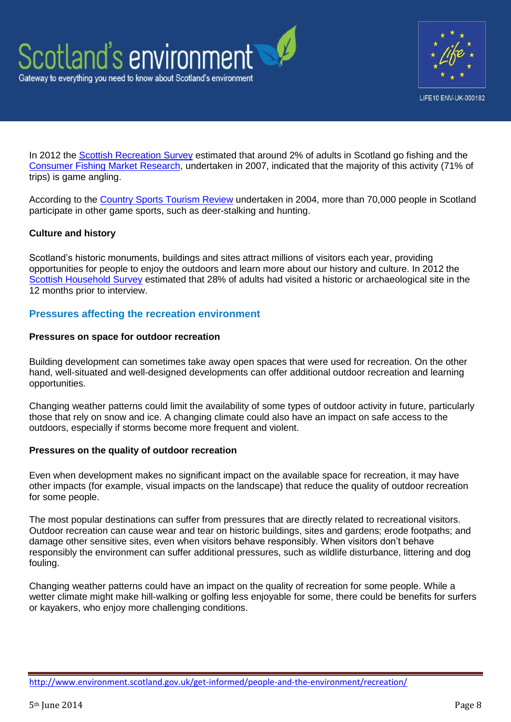



In 2012 the [Scottish Recreation](http://www.snh.gov.uk/publications-data-and-research/publications/search-the-catalogue/publication-detail/?id=2052) Survey estimated that around 2% of adults in Scotland go fishing and the Consumer [Fishing Market Research,](http://www.visitscotland.org/research_and_statistics/tourism_sectors/outdoor_activities/country_sports.aspx) undertaken in 2007, indicated that the majority of this activity (71% of trips) is game angling.

According to the [Country Sports Tourism Review](http://www.visitscotland.org/research_and_statistics/tourism_sectors/outdoor_activities.aspx) undertaken in 2004, more than 70,000 people in Scotland participate in other game sports, such as deer-stalking and hunting.

# **Culture and history**

Scotland's historic monuments, buildings and sites attract millions of visitors each year, providing opportunities for people to enjoy the outdoors and learn more about our history and culture. In 2012 the [Scottish Household Survey](http://www.scotland.gov.uk/Resource/0043/00432400.pdf) estimated that 28% of adults had visited a historic or archaeological site in the 12 months prior to interview.

# **Pressures affecting the recreation environment**

#### **Pressures on space for outdoor recreation**

Building development can sometimes take away open spaces that were used for recreation. On the other hand, well-situated and well-designed developments can offer additional outdoor recreation and learning opportunities.

Changing weather patterns could limit the availability of some types of outdoor activity in future, particularly those that rely on snow and ice. A changing climate could also have an impact on safe access to the outdoors, especially if storms become more frequent and violent.

### **Pressures on the quality of outdoor recreation**

Even when development makes no significant impact on the available space for recreation, it may have other impacts (for example, visual impacts on the landscape) that reduce the quality of outdoor recreation for some people.

The most popular destinations can suffer from pressures that are directly related to recreational visitors. Outdoor recreation can cause wear and tear on historic buildings, sites and gardens; erode footpaths; and damage other sensitive sites, even when visitors behave responsibly. When visitors don't behave responsibly the environment can suffer additional pressures, such as wildlife disturbance, littering and dog fouling.

Changing weather patterns could have an impact on the quality of recreation for some people. While a wetter climate might make hill-walking or golfing less enjoyable for some, there could be benefits for surfers or kayakers, who enjoy more challenging conditions.

<http://www.environment.scotland.gov.uk/get-informed/people-and-the-environment/recreation/>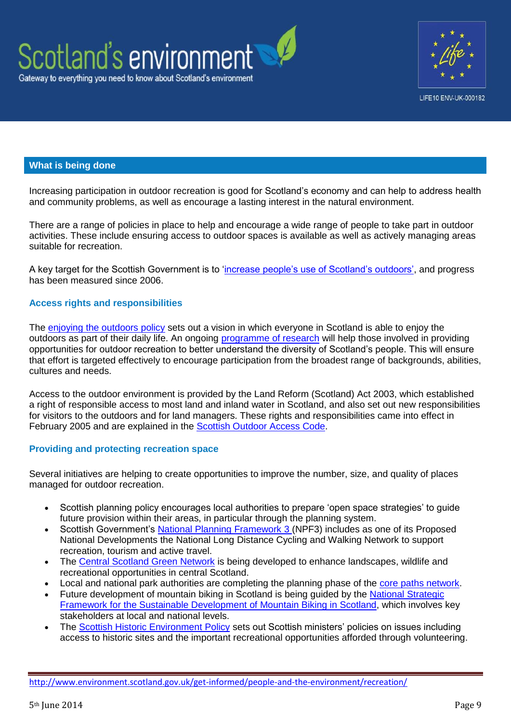



### **What is being done**

Increasing participation in outdoor recreation is good for Scotland's economy and can help to address health and community problems, as well as encourage a lasting interest in the natural environment.

There are a range of policies in place to help and encourage a wide range of people to take part in outdoor activities. These include ensuring access to outdoor spaces is available as well as actively managing areas suitable for recreation.

A key target for the Scottish Government is to ['increase people's use of Scotland's outdoors',](http://www.scotland.gov.uk/About/Performance/scotPerforms/indicator/outdoors) and progress has been measured since 2006.

#### **Access rights and responsibilities**

The [enjoying the outdoors policy](http://www.snh.gov.uk/land-and-sea/managing-recreation-and-access/access-and-recreation-policy/enjoying-the-outdoors-policy/) sets out a vision in which everyone in Scotland is able to enjoy the outdoors as part of their daily life. An ongoing [programme of research](http://www.snh.gov.uk/land-and-sea/managing-recreation-and-access/increasing-participation/) will help those involved in providing opportunities for outdoor recreation to better understand the diversity of Scotland's people. This will ensure that effort is targeted effectively to encourage participation from the broadest range of backgrounds, abilities, cultures and needs.

Access to the outdoor environment is provided by the Land Reform (Scotland) Act 2003, which established a right of responsible access to most land and inland water in Scotland, and also set out new responsibilities for visitors to the outdoors and for land managers. These rights and responsibilities came into effect in February 2005 and are explained in the [Scottish Outdoor Access Code.](http://www.outdooraccess-scotland.com/)

### **Providing and protecting recreation space**

Several initiatives are helping to create opportunities to improve the number, size, and quality of places managed for outdoor recreation.

- Scottish planning policy encourages local authorities to prepare 'open space strategies' to guide future provision within their areas, in particular through the planning system.
- Scottish Government's [National Planning Framework 3 \(](http://www.scotland.gov.uk/Topics/Built-Environment/planning/National-Planning-Framework)NPF3) includes as one of its Proposed National Developments the National Long Distance Cycling and Walking Network to support recreation, tourism and active travel.
- The [Central Scotland Green Network](http://www.centralscotlandgreennetwork.org/) is being developed to enhance landscapes, wildlife and recreational opportunities in central Scotland.
- Local and national park authorities are completing the planning phase of the [core paths network.](http://www.scotland.gov.uk/Topics/Environment/Countryside/16328/5612/core-paths)
- Future development of mountain biking in Scotland is being guided by the National Strategic [Framework for the Sustainable Development of Mountain Biking in Scotland,](http://www.forestry.gov.uk/pdf/MTBstrategycomplete.pdf/$file/MTBstrategycomplete.pdf) which involves key stakeholders at local and national levels.
- The [Scottish Historic Environment Policy](http://www.historic-scotland.gov.uk/shep) sets out Scottish ministers' policies on issues including access to historic sites and the important recreational opportunities afforded through volunteering.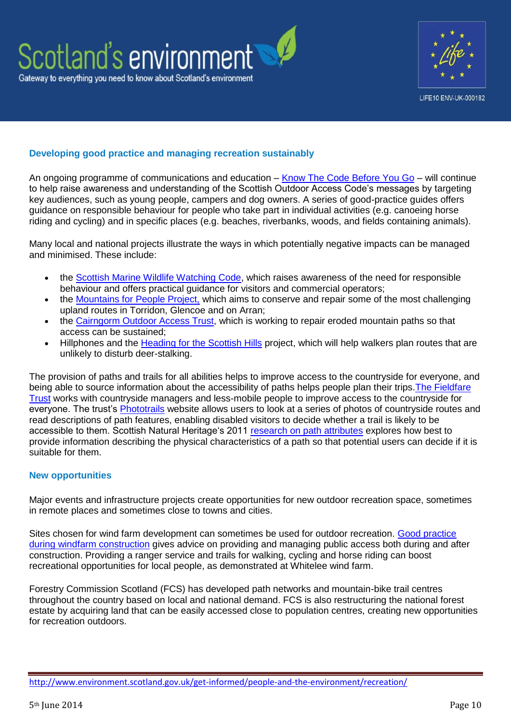



# **Developing good practice and managing recreation sustainably**

An ongoing programme of communications and education – [Know The Code Before You Go](http://www.outdooraccess-scotland.com/) – will continue to help raise awareness and understanding of the Scottish Outdoor Access Code's messages by targeting key audiences, such as young people, campers and dog owners. A series of good-practice guides offers guidance on responsible behaviour for people who take part in individual activities (e.g. canoeing horse riding and cycling) and in specific places (e.g. beaches, riverbanks, woods, and fields containing animals).

Many local and national projects illustrate the ways in which potentially negative impacts can be managed and minimised. These include:

- the [Scottish Marine Wildlife Watching Code,](http://www.marinecode.org/) which raises awareness of the need for responsible behaviour and offers practical guidance for visitors and commercial operators;
- the [Mountains for People Project,](http://www.nts.org.uk/Mountains_For_People/) which aims to conserve and repair some of the most challenging upland routes in Torridon, Glencoe and on Arran;
- the [Cairngorm Outdoor Access Trust,](http://www.cairngormsoutdooraccess.org.uk/) which is working to repair eroded mountain paths so that access can be sustained;
- Hillphones and the [Heading for the Scottish Hills](http://www.outdooraccess-scotland.com/outdoors-responsibly/access-code-and-advice/scottish-hills/heading-scottish-hills/) project, which will help walkers plan routes that are unlikely to disturb deer-stalking.

The provision of paths and trails for all abilities helps to improve access to the countryside for everyone, and being able to source information about the accessibility of paths helps people plan their trips[.The Fieldfare](http://www.fieldfare.org.uk/)  [Trust](http://www.fieldfare.org.uk/) works with countryside managers and less-mobile people to improve access to the countryside for everyone. The trust's [Phototrails](http://www.phototrails.org/) website allows users to look at a series of photos of countryside routes and read descriptions of path features, enabling disabled visitors to decide whether a trail is likely to be accessible to them. Scottish Natural Heritage's 2011 [research on path attributes](http://www.snh.gov.uk/publications-data-and-research/publications/search-the-catalogue/publication-detail/?id=1763) explores how best to provide information describing the physical characteristics of a path so that potential users can decide if it is suitable for them.

### **New opportunities**

Major events and infrastructure projects create opportunities for new outdoor recreation space, sometimes in remote places and sometimes close to towns and cities.

Sites chosen for wind farm development can sometimes be used for outdoor recreation. [Good practice](http://www.snh.gov.uk/docs/A1168678.pdf)  [during windfarm construction](http://www.snh.gov.uk/docs/A1168678.pdf) gives advice on providing and managing public access both during and after construction. Providing a ranger service and trails for walking, cycling and horse riding can boost recreational opportunities for local people, as demonstrated at Whitelee wind farm.

Forestry Commission Scotland (FCS) has developed path networks and mountain-bike trail centres throughout the country based on local and national demand. FCS is also restructuring the national forest estate by acquiring land that can be easily accessed close to population centres, creating new opportunities for recreation outdoors.

<http://www.environment.scotland.gov.uk/get-informed/people-and-the-environment/recreation/>